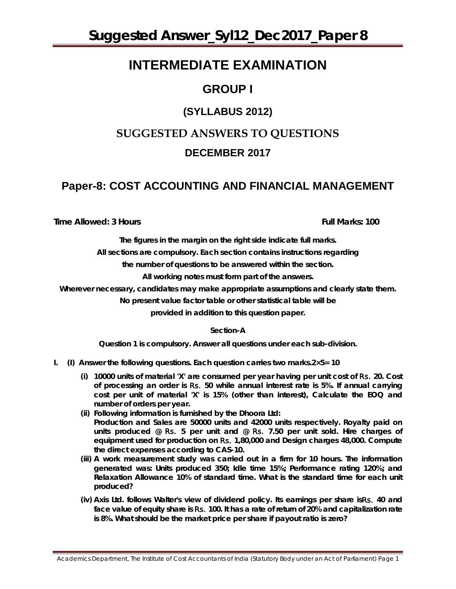# **INTERMEDIATE EXAMINATION**

# **GROUP I**

# **(SYLLABUS 2012)**

# **SUGGESTED ANSWERS TO QUESTIONS DECEMBER 2017**

# **Paper-8: COST ACCOUNTING AND FINANCIAL MANAGEMENT**

**Time Allowed: 3 Hours Full Marks: 100**

*The figures in the margin on the right side indicate full marks. All sections are compulsory. Each section contains instructions regarding*

*the number of questions to be answered within the section.*

**All working notes must form part of the answers.**

**Wherever necessary, candidates may make appropriate assumptions and clearly state them.**

**No present value factor table or other statistical table will be** 

**provided in addition to this question paper.**

### **Section-A**

*Question* **1 is compulsory. Answer** *all* **questions under each sub-division.** 

- **I. (I) Answer the following questions. Each question carries two marks.2×5= 10**
	- **(i) 10000 units of material 'X' are consumed per year having per unit cost of** Rs. **20. Cost of processing an order is** Rs. **50 while annual interest rate is 5%. If annual carrying cost per unit of material 'X' is 15% (other than interest), Calculate the EOQ and number of orders per year.**
	- **(ii) Following information is furnished by the Dhoora Ltd: Production and Sales are 50000 units and 42000 units respectively. Royalty paid on units produced @** Rs. **5 per unit and @** Rs. **7.50 per unit sold. Hire charges of equipment used for production on** Rs. **1,80,000 and Design charges 48,000. Compute the direct expenses according to CAS-10.**
	- **(iii) A work measurement study was carried out in a firm for 10 hours. The information generated was: Units produced 350; Idle time 15%; Performance rating 120%; and Relaxation Allowance 10% of standard time. What is the standard time for each unit produced?**
	- **(iv) Axis Ltd. follows Walter's view of dividend policy. Its earnings per share is**Rs. **40 and face value of equity share is** Rs. **100. It has a rate of return of 20% and capitalization rate is 8%. What should be the market price per share if payout ratio is zero?**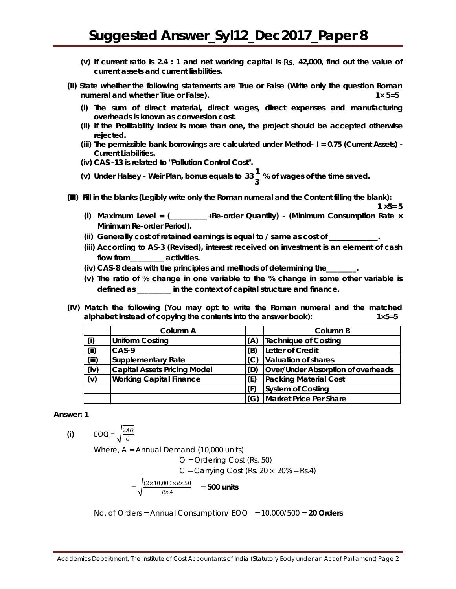- **(v) If current ratio is 2.4 : 1 and net working capital is** Rs. **42,000, find out the value of current assets and current liabilities.**
- **(II) State whether the following statements are** *True* **or** *False* **(Write only the question Roman numeral and whether True or False). 1× 5=5**
	- **(i) The sum of direct material, direct wages, direct expenses and manufacturing overheads is known as conversion cost.**
	- **(ii) If the Profitability Index is more than one, the project should be accepted otherwise rejected.**
	- **(iii) The permissible bank borrowings are calculated under Method- I = 0.75 (Current Assets) - Current Liabilities.**
	- **(iv) CAS -13 is related to "Pollution Control Cost".**
	- (v) Under Halsey Weir Plan, bonus equals to  $33\frac{1}{3}$  % of wages of the time saved.
- **(III) Fill in the blanks (Legibly write only the Roman numeral and the Content filling the blank):**

 $1 \times 5 = 5$ 

- **(i) Maximum Level = (\_\_\_\_\_\_\_\_\_\_+Re-order Quantity) - (Minimum Consumption Rate × Minimum Re-order Period).**
- **(ii) Generally cost of retained earnings is equal to / same as cost of \_\_\_\_\_\_\_\_\_\_\_\_\_.**
- **(iii) According to AS-3 (Revised), interest received on investment is an element of cash flow from\_\_\_\_\_\_\_\_\_ activities.**
- **(iv) CAS-8 deals with the principles and methods of determining the\_\_\_\_\_\_\_\_.**
- **(v) The ratio of % change in one variable to the % change in some other variable is defined as \_\_\_\_\_\_\_\_\_ in the context of capital structure and finance.**
- **(IV) Match the following (You may opt to write the Roman numeral and the matched alphabet instead of copying the contents into the answer book): 1×5=5**

|       | Column A                            |     | Column B                           |
|-------|-------------------------------------|-----|------------------------------------|
| (i)   | <b>Uniform Costing</b>              | (A) | Technique of Costing               |
| (i)   | $CAS-9$                             | (B) | Letter of Credit                   |
| (iii) | Supplementary Rate                  | (C) | Valuation of shares                |
| (iv)  | <b>Capital Assets Pricing Model</b> | (D) | Over/Under Absorption of overheads |
| (v)   | <b>Working Capital Finance</b>      | (E) | <b>Packing Material Cost</b>       |
|       |                                     |     | <b>System of Costing</b>           |
|       |                                     | (G) | Market Price Per Share             |

#### **Answer: 1**

**(i)**  $EOQ = \sqrt{\frac{2A0}{C}}$ 

Where, A = Annual Demand (10,000 units)

O = Ordering Cost (Rs. 50)

 $C =$  Carrying Cost (Rs. 20  $\times$  20% = Rs.4)

$$
= \sqrt{\frac{(2 \times 10,000 \times Rs.50)}{Rs.4}} = 500 \text{ units}
$$

No. of Orders = Annual Consumption/ EOQ = 10,000/500 = **20 Orders**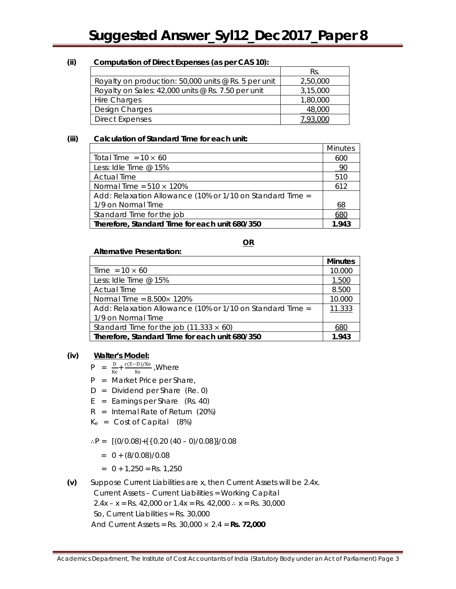### **(ii) Computation of Direct Expenses (as per CAS 10):**

|                                                        | Rs.      |
|--------------------------------------------------------|----------|
| Royalty on production: $50,000$ units @ Rs. 5 per unit | 2,50,000 |
| Royalty on Sales: $42,000$ units @ Rs. 7.50 per unit   | 3,15,000 |
| Hire Charges                                           | 1,80,000 |
| Design Charges                                         | 48,000   |
| <b>Direct Expenses</b>                                 |          |

### **(iii) Calculation of Standard Time for each unit:**

|                                                           | <b>Minutes</b> |  |
|-----------------------------------------------------------|----------------|--|
| Total Time = $10 \times 60$                               | 600            |  |
| Less: Idle Time @ 15%                                     | <u>90</u>      |  |
| <b>Actual Time</b>                                        | 510            |  |
| Normal Time = $510 \times 120\%$                          | 612            |  |
| Add: Relaxation Allowance (10% or 1/10 on Standard Time = |                |  |
| 1/9 on Normal Time                                        | 68             |  |
| Standard Time for the job                                 | 68C            |  |
| Therefore, Standard Time for each unit 680/350            |                |  |

**OR**

**Minutes**

 $\frac{Time = 10 \times 60}{Loss: 10!}$  10.000 Less: Idle Time @ 15% Actual Time 8.500  $Normal Time = 8.500 \times 120\%$  10.000

| Add: Relaxation Allowance (10% or 1/10 on Standard Time = | 11.333 |
|-----------------------------------------------------------|--------|
| 1/9 on Normal Time                                        |        |
| Standard Time for the job $(11.333 \times 60)$            | 680    |
| Therefore, Standard Time for each unit 680/350            | 1.943  |

# **(iv) Walter's Model:**

 $P = \frac{D}{Ke} + \frac{r(E-D)/Ke}{Ke}$ , Where

**Alternative Presentation:**

- P = Market Price per Share,
- D = Dividend per Share (Re. 0)
- $E =$  Earnings per Share (Rs. 40)
- $R =$  Internal Rate of Return (20%)
- $K_e$  = Cost of Capital  $(8%)$
- ∴P =  $[(0/0.08) + [(0.20 (40 0)/0.08)]/0.08]$ 
	- $= 0 + (8/0.08)/0.08$
	- $= 0 + 1,250 = \text{Rs. } 1,250$
- **(v)** Suppose Current Liabilities are x, then Current Assets will be 2.4x.
	- Current Assets Current Liabilities = Working Capital

2.4x – x = Rs. 42,000 or  $1.4x =$  Rs. 42,000  $\therefore$  x = Rs. 30,000

So, Current Liabilities = Rs. 30,000

And Current Assets = Rs. 30,000 × 2.4 = **Rs. 72,000**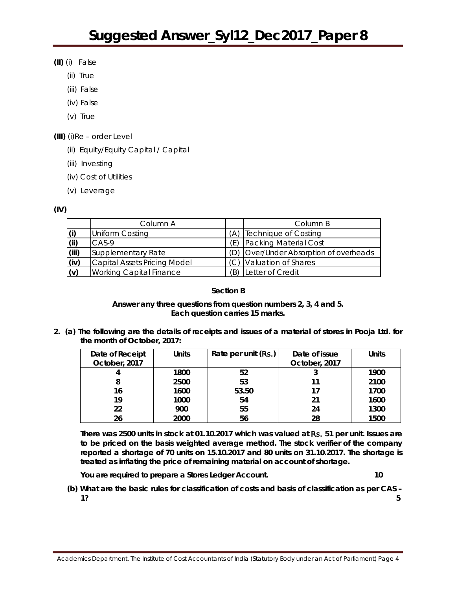- **(II)** (i) False
	- (ii) True
	- (iii) False
	- (iv) False
	- (v) True
- **(III)** (i)Re order Level
	- (ii) Equity/Equity Capital / Capital
	- (iii) Investing
	- (iv) Cost of Utilities
	- (v) Leverage

**(IV)**

|       | Column A                            |     | Column B                               |
|-------|-------------------------------------|-----|----------------------------------------|
| (i)   | <b>Uniform Costing</b>              | A)  | Technique of Costing                   |
| (iii) | $CAS-9$                             | (E) | Packing Material Cost                  |
| (iii) | Supplementary Rate                  |     | (D) Over/Under Absorption of overheads |
| (iv)  | <b>Capital Assets Pricing Model</b> |     | (C) Valuation of Shares                |
| (v)   | <b>Working Capital Finance</b>      | (R) | Letter of Credit                       |

## **[Section B**

### **Answer** *any three* **questions from question numbers 2, 3, 4 and 5.** *Each question carries 15 marks.*

**2. (a) The following are the details of receipts and issues of a material of stores in Pooja Ltd. for the month of October, 2017:** 

| Date of Receipt | <b>Units</b> | Rate per unit $(Rs.)$ | Date of issue | <b>Units</b> |
|-----------------|--------------|-----------------------|---------------|--------------|
| October, 2017   |              |                       | October, 2017 |              |
| 4               | 1800         | 52                    |               | 1900         |
| 8               | 2500         | 53                    | 11            | 2100         |
| 16              | 1600         | 53.50                 | 17            | 1700         |
| 19              | 1000         | 54                    | 21            | 1600         |
| 22              | 900          | 55                    | 24            | 1300         |
| 26              | 2000         | 56                    | 28            | 1500         |

**There was 2500 units in stock at 01.10.2017 which was valued at** Rs. **51 per unit. Issues are to be priced on the basis weighted average method. The stock verifier of the company reported a shortage of 70 units on 15.10.2017 and 80 units on 31.10.2017. The shortage is treated as inflating the price of remaining material on account of shortage.** 

**You are required to prepare a Stores Ledger Account. 10**

**(b) What are the basic rules for classification of costs and basis of classification as per CAS – 1? 5**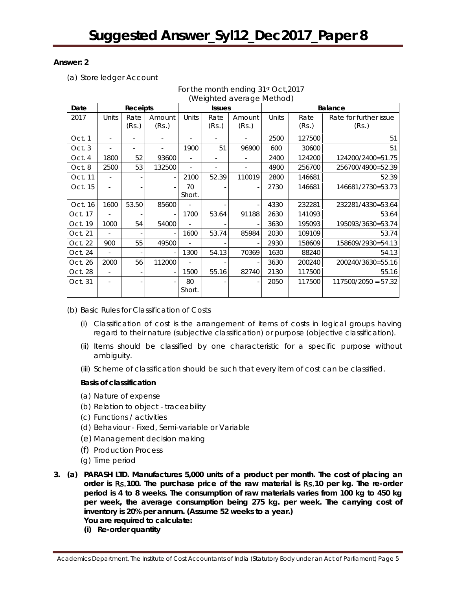### **Answer: 2**

(a) Store ledger Account

| Date    | <b>Receipts</b> |               |                 | <b>Issues</b> |               |                 | Balance |               |                                 |
|---------|-----------------|---------------|-----------------|---------------|---------------|-----------------|---------|---------------|---------------------------------|
| 2017    | Units           | Rate<br>(Rs.) | Amount<br>(Rs.) | Units         | Rate<br>(Rs.) | Amount<br>(Rs.) | Units   | Rate<br>(Rs.) | Rate for further issue<br>(Rs.) |
| Oct. 1  |                 |               |                 |               |               |                 | 2500    | 127500        | 51                              |
| Oct. 3  |                 |               | ÷,              | 1900          | 51            | 96900           | 600     | 30600         | 51                              |
| Oct. 4  | 1800            | 52            | 93600           | ÷.            | ٠             | ٠               | 2400    | 124200        | 124200/2400=51.75               |
| Oct. 8  | 2500            | 53            | 132500          |               |               | ٠               | 4900    | 256700        | 256700/4900=52.39               |
| Oct. 11 |                 |               |                 | 2100          | 52.39         | 110019          | 2800    | 146681        | 52.39                           |
| Oct. 15 |                 |               |                 | 70<br>Short.  |               |                 | 2730    | 146681        | 146681/2730=53.73               |
| Oct. 16 | 1600            | 53.50         | 85600           |               |               |                 | 4330    | 232281        | 232281/4330=53.64               |
| Oct. 17 |                 |               |                 | 1700          | 53.64         | 91188           | 2630    | 141093        | 53.64                           |
| Oct. 19 | 1000            | 54            | 54000           |               |               |                 | 3630    | 195093        | 195093/3630=53.74               |
| Oct. 21 |                 |               |                 | 1600          | 53.74         | 85984           | 2030    | 109109        | 53.74                           |
| Oct. 22 | 900             | 55            | 49500           |               |               |                 | 2930    | 158609        | 158609/2930=54.13               |
| Oct. 24 |                 |               |                 | 1300          | 54.13         | 70369           | 1630    | 88240         | 54.13                           |
| Oct. 26 | 2000            | 56            | 112000          | ٠             |               |                 | 3630    | 200240        | 200240/3630=55.16               |
| Oct. 28 | ÷.              |               |                 | 1500          | 55.16         | 82740           | 2130    | 117500        | 55.16                           |
| Oct. 31 |                 |               |                 | 80<br>Short.  |               |                 | 2050    | 117500        | $117500/2050 = 57.32$           |

For the month ending 31st Oct,2017 (Weighted average Method)

(b) Basic Rules for Classification of Costs

- (i) Classification of cost is the arrangement of items of costs in logical groups having regard to their nature (subjective classification) or purpose (objective classification).
- (ii) Items should be classified by one characteristic for a specific purpose without ambiguity.
- (iii) Scheme of classification should be such that every item of cost can be classified.

# **Basis of classification**

- (a) Nature of expense
- (b) Relation to object traceability
- (c) Functions / activities
- (d) Behaviour Fixed, Semi-variable or Variable
- (e) Management decision making
- (f) Production Process
- (g) Time period
- **3. (a) PARASH LTD. Manufactures 5,000 units of a product per month. The cost of placing an order is** Rs.**100. The purchase price of the raw material is** Rs.**10 per kg. The re-order period is 4 to 8 weeks. The consumption of raw materials varies from 100 kg to 450 kg per week, the average consumption being 275 kg. per week. The carrying cost of inventory is 20% per annum. (Assume 52 weeks to a year.) You are required to calculate:** 
	- **(i) Re-order quantity**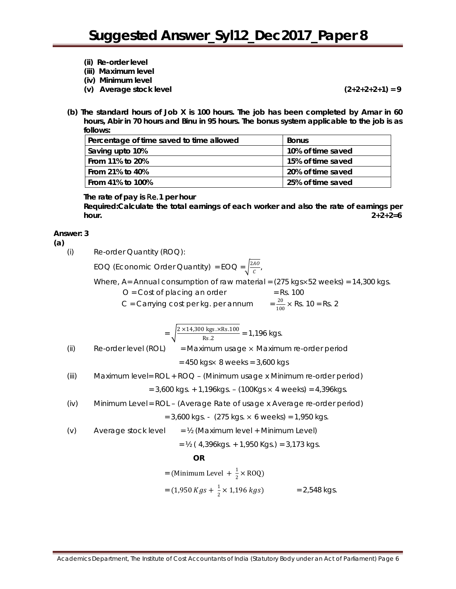- **(ii) Re-order level**
- **(iii) Maximum level**
- **(iv) Minimum level**
- **(v) Average stock level (2+2+2+2+1) = 9**

**(b) The standard hours of Job X is 100 hours. The job has been completed by Amar in 60 hours, Abir in 70 hours and Binu in 95 hours. The bonus system applicable to the job is as follows:**

| Percentage of time saved to time allowed | <b>Bonus</b>      |
|------------------------------------------|-------------------|
| Saving upto 10%                          | 10% of time saved |
| From 11% to 20%                          | 15% of time saved |
| From 21% to 40%                          | 20% of time saved |
| From 41% to 100%                         | 25% of time saved |

### **The rate of pay is** Re.**1 per hour**

*Required:***Calculate the total earnings of each worker and also the rate of earnings per hour. 2+2+2=6**

### **Answer: 3**

**(a)**

(i) Re-order Quantity (ROQ):

EOQ (Economic Order Quantity) = EOQ =  $\sqrt{\frac{2A0}{C}}$ 

Where, A= Annual consumption of raw material = (275 kgsx52 weeks) = 14,300 kgs.

 $O = Cost of placing an order$  = Rs. 100

C = Carrying cost per kg. per annum  $= \frac{20}{100} \times$  Rs. 10 = Rs. 2

$$
= \sqrt{\frac{2 \times 14,300 \text{ kgs.} \times \text{Rs.}100}{\text{Rs.}2}} = 1,196 \text{ kgs.}
$$

(ii) Re-order level (ROL) = Maximum usage × Maximum re-order period

= 450 kgs× 8 weeks = 3,600 kgs

(iii) Maximum level= ROL + ROQ – (Minimum usage x Minimum re-order period)

 $= 3,600 \text{ kg}$ s. + 1,196kgs. – (100Kgs  $\times$  4 weeks) = 4,396kgs.

(iv) Minimum Level = ROL – (Average Rate of usage x Average re-order period)  $= 3,600$  kgs. - (275 kgs.  $\times$  6 weeks) = 1,950 kgs.

(v) Average stock level  $=$  ½ (Maximum level + Minimum Level)

$$
= \frac{1}{2} \left( 4,396 \text{kgs.} + 1,950 \text{kgs.} \right) = 3,173 \text{kgs.}
$$

**OR**

= (Minimum Level +  $\frac{1}{2} \times R OQ$ )

 $= (1,950 \text{ Kgs} + \frac{1}{2} \times 1,196 \text{ kgs})$   $= 2,548 \text{ kgs}.$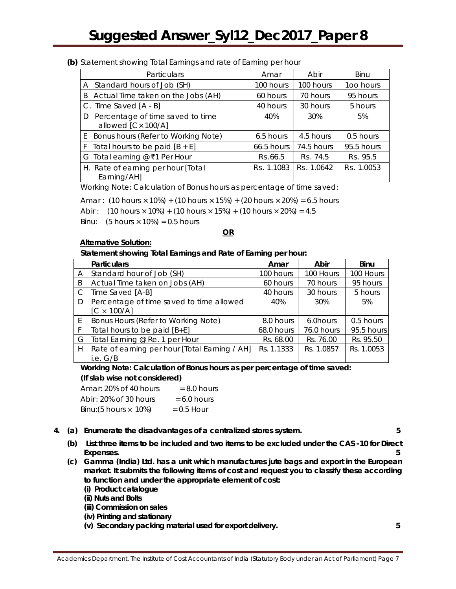### **(b)** Statement showing Total Earnings and rate of Earning per hour

| Particulars                                                 | Amar              | Abir              | Binu              |
|-------------------------------------------------------------|-------------------|-------------------|-------------------|
| A Standard hours of Job (SH)                                | 100 hours         | 100 hours         | 100 hours         |
| Actual Time taken on the Jobs (AH)<br>B                     | 60 hours          | 70 hours          | 95 hours          |
| C. Time Saved [A - B]                                       | 40 hours          | 30 hours          | 5 hours           |
| Percentage of time saved to time<br>D<br>allowed [C× 100/A] | 40%               | 30%               | 5%                |
| E Bonus hours (Refer to Working Note)                       | 6.5 hours         | 4.5 hours         | 0.5 hours         |
| F Total hours to be paid $[B + E]$                          | 66.5 hours        | 74.5 hours        | 95.5 hours        |
| G Total earning @ ₹1 Per Hour                               | <b>Rs.66.5</b>    | <b>Rs. 74.5</b>   | <b>Rs. 95.5</b>   |
| H. Rate of earning per hour [Total]<br>Earning/AH]          | <b>Rs.</b> 1.1083 | <b>Rs.</b> 1.0642 | <b>Rs.</b> 1.0053 |

Working Note: *Calculation of Bonus hours as percentage of time saved:*

Amar :  $(10 \text{ hours} \times 10\%) + (10 \text{ hours} \times 15\%) + (20 \text{ hours} \times 20\%) = 6.5 \text{ hours}$ 

Abir :  $(10 \text{ hours} \times 10\%) + (10 \text{ hours} \times 15\%) + (10 \text{ hours} \times 20\%) = 4.5$ 

Binu:  $(5 \text{ hours} \times 10\%) = 0.5 \text{ hours}$ 

### **OR**

### **Alternative Solution:**

### **Statement showing Total Earnings and Rate of Earning per hour:**

|    | <b>Particulars</b>                                             | Amar       | Abir       | Binu       |
|----|----------------------------------------------------------------|------------|------------|------------|
| A  | Standard hour of Job (SH)                                      | 100 hours  | 100 Hours  | 100 Hours  |
| B  | Actual Time taken on Jobs (AH)                                 | 60 hours   | 70 hours   | 95 hours   |
| C  | Time Saved [A-B]                                               | 40 hours   | 30 hours   | 5 hours    |
| D  | Percentage of time saved to time allowed<br>$[C \times 100/A]$ | 40%        | 30%        | 5%         |
| E. | Bonus Hours (Refer to Working Note)                            | 8.0 hours  | 6.0 hours  | 0.5 hours  |
| F  | Total hours to be paid $[B+E]$                                 | 68.0 hours | 76.0 hours | 95.5 hours |
| G  | Total Earning @ Re. 1 per Hour                                 | Rs. 68.00  | Rs. 76.00  | Rs. 95.50  |
| Н  | Rate of earning per hour [Total Earning / AH]<br>i.e. $G/B$    | Rs. 1.1333 | Rs. 1.0857 | Rs. 1.0053 |

**Working Note: Calculation of Bonus hours as per percentage of time saved: (If slab wise not considered)**

| Amar: 20% of 40 hours                 | $= 8.0$ hours |
|---------------------------------------|---------------|
| Abir : 20% of 30 hours                | $= 6.0$ hours |
| Binu: $(5 \text{ hours} \times 10\%)$ | $= 0.5$ Hour  |

**4. (a) Enumerate the disadvantages of a centralized stores system. 5**

- **(b) List three items to be included and two items to be excluded under the CAS -10 for Direct Expenses. 5**
- **(c) Gamma (India) Ltd. has a unit which manufactures jute bags and export in the European market. It submits the following items of cost and request you to classify these according to function and under the appropriate element of cost:**
	- **(i) Product catalogue**
	- **(ii) Nuts and Bolts**
	- **(iii) Commission on sales**
	- **(iv) Printing and stationary**
	- **(v) Secondary packing material used for export delivery. 5**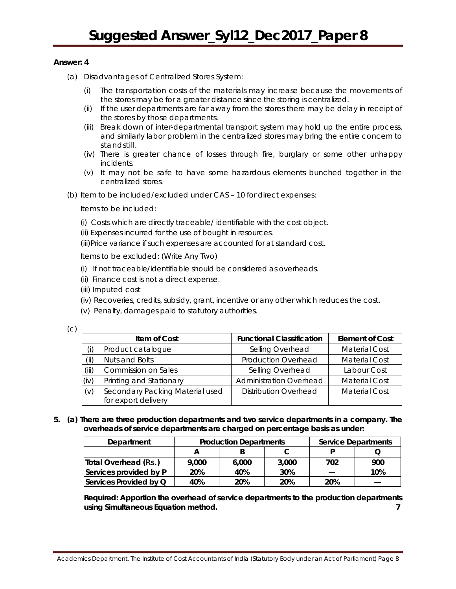### **Answer: 4**

- (a) Disadvantages of Centralized Stores System:
	- (i) The transportation costs of the materials may increase because the movements of the stores may be for a greater distance since the storing is centralized.
	- (ii) If the user departments are far away from the stores there may be delay in receipt of the stores by those departments.
	- (iii) Break down of inter-departmental transport system may hold up the entire process, and similarly labor problem in the centralized stores may bring the entire concern to standstill.
	- (iv) There is greater chance of losses through fire, burglary or some other unhappy incidents.
	- (v) It may not be safe to have some hazardous elements bunched together in the centralized stores.
- (b) Item to be included/excluded under CAS 10 for direct expenses:

Items to be included:

- (i) Costs which are directly traceable/ identifiable with the cost object.
- (ii) Expenses incurred for the use of bought in resources.
- (iii)Price variance if such expenses are accounted for at standard cost.

Items to be excluded: (Write Any Two)

- (i) If not traceable/identifiable should be considered as overheads.
- (ii) Finance cost is not a direct expense.
- (iii) Imputed cost
- (iv) Recoveries, credits, subsidy, grant, incentive or any other which reduces the cost.
- (v) Penalty, damages paid to statutory authorities.

(c)

|       | Item of Cost                    | <b>Functional Classification</b> | <b>Element of Cost</b> |
|-------|---------------------------------|----------------------------------|------------------------|
|       | Product catalogue               | Selling Overhead                 | <b>Material Cost</b>   |
| (ii)  | Nuts and Bolts                  | <b>Production Overhead</b>       | <b>Material Cost</b>   |
| (iii) | <b>Commission on Sales</b>      | Selling Overhead                 | Labour Cost            |
| (iv)  | Printing and Stationary         | <b>Administration Overhead</b>   | <b>Material Cost</b>   |
| (v)   | Secondary Packing Material used | Distribution Overhead            | <b>Material Cost</b>   |
|       | for export delivery             |                                  |                        |

**5. (a) There are three production departments and two service departments in a company. The overheads of service departments are charged on percentage basis as under:**

| Department             | <b>Production Departments</b> |       |       |     | <b>Service Departments</b> |
|------------------------|-------------------------------|-------|-------|-----|----------------------------|
|                        |                               |       |       |     |                            |
| Total Overhead (Rs.)   | 9,000                         | 6,000 | 3,000 | 702 | 900                        |
| Services provided by P | 20%                           | 40%   | 30%   |     | 10%                        |
| Services Provided by Q | 40%                           | 20%   | 20%   | 20% |                            |

*Required:* **Apportion the overhead of service departments to the production departments using Simultaneous Equation method. 7**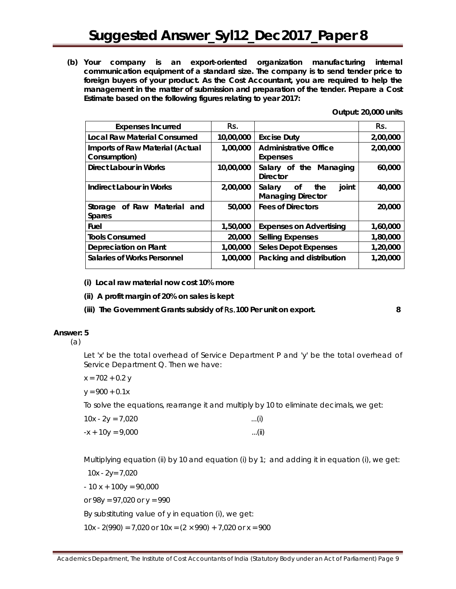**(b) Your company is an export-oriented organization manufacturing internal communication equipment of a standard size. The company is to send tender price to foreign buyers of your product. As the Cost Accountant, you are required to help the management in the matter of submission and preparation of the tender. Prepare a Cost Estimate based on the following figures relating to year 2017:**

**Output: 20,000 units** 

| <b>Expenses Incurred</b>                               | Rs.       |                                                          | Rs.      |
|--------------------------------------------------------|-----------|----------------------------------------------------------|----------|
| <b>Local Raw Material Consumed</b>                     | 10,00,000 | <b>Excise Duty</b>                                       | 2,00,000 |
| <b>Imports of Raw Material (Actual</b><br>Consumption) | 1,00,000  | <b>Administrative Office</b><br><b>Expenses</b>          | 2,00,000 |
| Direct Labour in Works                                 | 10,00,000 | Salary of the Managing<br><b>Director</b>                | 60,000   |
| <b>Indirect Labour in Works</b>                        | 2,00,000  | joint<br>Salary<br>the<br>Οf<br><b>Managing Director</b> | 40,000   |
| of Raw Material and<br>Storage<br><b>Spares</b>        | 50,000    | <b>Fees of Directors</b>                                 | 20,000   |
| Fuel                                                   | 1,50,000  | <b>Expenses on Advertising</b>                           | 1,60,000 |
| <b>Tools Consumed</b>                                  | 20,000    | <b>Selling Expenses</b>                                  | 1,80,000 |
| Depreciation on Plant                                  | 1,00,000  | <b>Seles Depot Expenses</b>                              | 1,20,000 |
| Salaries of Works Personnel                            | 1,00,000  | Packing and distribution                                 | 1,20,000 |

**(i) Local raw material now cost 10% more** 

**(ii) A profit margin of 20% on sales is kept** 

**(iii) The Government Grants subsidy of** Rs.**100 Per unit on export. 8**

#### **Answer: 5**

(a)

Let 'x' be the total overhead of Service Department P and 'y' be the total overhead of Service Department Q. Then we have:

x = 702 *+* 0.2 y

 $y = 900 + 0.1x$ 

To solve the equations, rearrange it and multiply by 10 to eliminate decimals, we get:

| $10x - 2y = 7,020$ | $\dots(i)$    |
|--------------------|---------------|
| $-x + 10y = 9,000$ | $\ldots$ (ii) |

Multiplying equation (ii) by 10 and equation (i) by 1; and adding it in equation (i), we get:

 10x - 2y= 7,020  $-10 x + 100y = 90,000$ or  $98y = 97,020$  or  $y = 990$ By substituting value of y in equation (i), we get:

10x - 2(990) = 7,020 or 10x =  $(2 \times 990)$  + 7,020 or x = 900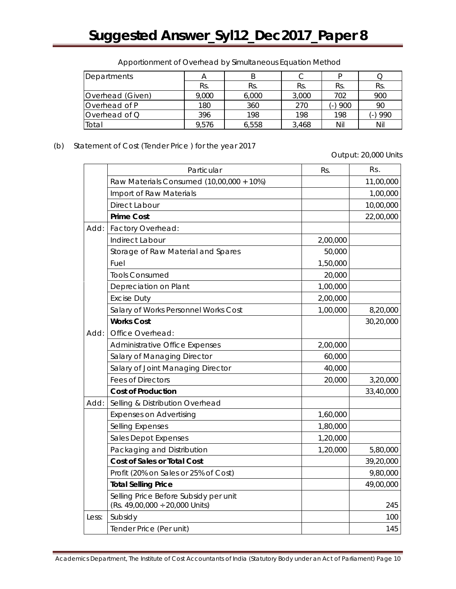| Departments      | Α     |       |       |                                 |         |
|------------------|-------|-------|-------|---------------------------------|---------|
|                  | Rs.   | Rs.   | Rs.   | Rs.                             | Rs.     |
| Overhead (Given) | 9,000 | 6,000 | 3,000 | 702                             | 900     |
| Overhead of P    | 180   | 360   | 270   | 900<br>$\overline{\phantom{a}}$ | 90      |
| Overhead of Q    | 396   | 198   | 198   | 198                             | (-) 990 |
| Total            | 9.576 | 6.558 | 3.468 | Nil                             | Nil     |

Apportionment of Overhead by Simultaneous Equation Method

(b) Statement of Cost (Tender Price ) for the year 2017

Output: 20,000 Units

|       | Particular                                                                   | Rs.      | Rs.       |
|-------|------------------------------------------------------------------------------|----------|-----------|
|       | Raw Materials Consumed (10,00,000 + 10%)                                     |          | 11,00,000 |
|       | Import of Raw Materials                                                      |          | 1,00,000  |
|       | Direct Labour                                                                |          | 10,00,000 |
|       | <b>Prime Cost</b>                                                            |          | 22,00,000 |
| Add:  | Factory Overhead:                                                            |          |           |
|       | Indirect Labour                                                              | 2,00,000 |           |
|       | Storage of Raw Material and Spares                                           | 50,000   |           |
|       | Fuel                                                                         | 1,50,000 |           |
|       | <b>Tools Consumed</b>                                                        | 20,000   |           |
|       | Depreciation on Plant                                                        | 1,00,000 |           |
|       | <b>Excise Duty</b>                                                           | 2,00,000 |           |
|       | Salary of Works Personnel Works Cost                                         | 1,00,000 | 8,20,000  |
|       | <b>Works Cost</b>                                                            |          | 30,20,000 |
| Add:  | Office Overhead:                                                             |          |           |
|       | Administrative Office Expenses                                               | 2,00,000 |           |
|       | Salary of Managing Director                                                  | 60,000   |           |
|       | Salary of Joint Managing Director                                            | 40,000   |           |
|       | <b>Fees of Directors</b>                                                     | 20,000   | 3,20,000  |
|       | <b>Cost of Production</b>                                                    |          | 33,40,000 |
| Add:  | Selling & Distribution Overhead                                              |          |           |
|       | <b>Expenses on Advertising</b>                                               | 1,60,000 |           |
|       | <b>Selling Expenses</b>                                                      | 1,80,000 |           |
|       | Sales Depot Expenses                                                         | 1,20,000 |           |
|       | Packaging and Distribution                                                   | 1,20,000 | 5,80,000  |
|       | <b>Cost of Sales or Total Cost</b>                                           |          | 39,20,000 |
|       | Profit (20% on Sales or 25% of Cost)                                         |          | 9,80,000  |
|       | <b>Total Selling Price</b>                                                   |          | 49,00,000 |
|       | Selling Price Before Subsidy per unit<br>(Rs. 49,00,000 $\div$ 20,000 Units) |          | 245       |
| Less: | Subsidy                                                                      |          | 100       |
|       | Tender Price (Per unit)                                                      |          | 145       |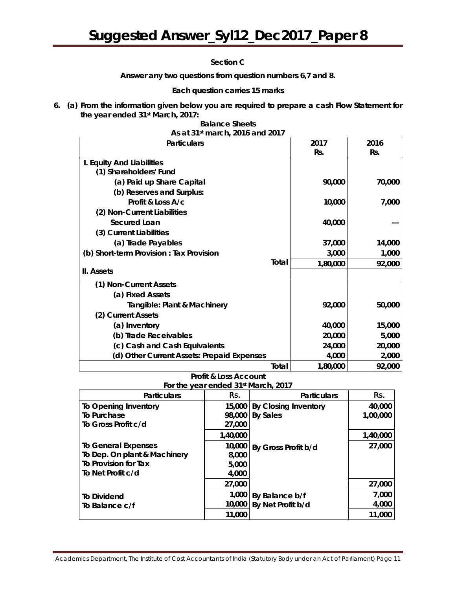### **Section C**

**Answer** *any two* **questions from question numbers 6,7 and 8.** 

### *Each question carries 15 marks*

**6. (a) From the information given below you are required to prepare a cash Flow Statement for the year ended 31st March, 2017:**

| As at 31 <sup>st</sup> march, 2016 and 2017 |       |          |        |
|---------------------------------------------|-------|----------|--------|
| <b>Particulars</b>                          |       | 2017     | 2016   |
|                                             |       | Rs.      | Rs.    |
| I. Equity And Liabilities                   |       |          |        |
| (1) Shareholders' Fund                      |       |          |        |
| (a) Paid up Share Capital                   |       | 90,000   | 70,000 |
| (b) Reserves and Surplus:                   |       |          |        |
| Profit & Loss A/c                           |       | 10,000   | 7,000  |
| (2) Non-Current Liabilities                 |       |          |        |
| Secured Loan                                |       | 40,000   |        |
| (3) Current Liabilities                     |       |          |        |
| (a) Trade Payables                          |       | 37,000   | 14,000 |
| (b) Short-term Provision : Tax Provision    |       | 3,000    | 1,000  |
|                                             | Total | 1,80,000 | 92,000 |
| II. Assets                                  |       |          |        |
| (1) Non-Current Assets                      |       |          |        |
| (a) Fixed Assets                            |       |          |        |
| Tangible: Plant & Machinery                 |       | 92,000   | 50,000 |
| (2) Current Assets                          |       |          |        |
| (a) Inventory                               |       | 40,000   | 15,000 |
| (b) Trade Receivables                       |       | 20,000   | 5,000  |
| (c) Cash and Cash Equivalents               |       | 24,000   | 20,000 |
| (d) Other Current Assets: Prepaid Expenses  |       | 4,000    | 2,000  |
|                                             | Total | 1,80,000 | 92,000 |

# **Balance Sheets**

## **Profit & Loss Account For the year ended 31st March, 2017**

| <b>Particulars</b>           | Rs.      | <b>Particulars</b>          | Rs.      |
|------------------------------|----------|-----------------------------|----------|
| To Opening Inventory         | 15,000   | <b>By Closing Inventory</b> | 40,000   |
| To Purchase                  | 98,000   | <b>By Sales</b>             | 1,00,000 |
| To Gross Profit c/d          | 27,000   |                             |          |
|                              | 1,40,000 |                             | 1,40,000 |
| <b>To General Expenses</b>   | 10,000   | By Gross Profit b/d         | 27,000   |
| To Dep. On plant & Machinery | 8,000    |                             |          |
| To Provision for Tax         | 5,000    |                             |          |
| To Net Profit c/d            | 4,000    |                             |          |
|                              | 27,000   |                             | 27,000   |
| <b>To Dividend</b>           | 1,000    | By Balance b/f              | 7,000    |
| To Balance c/f               | 10,000   | By Net Profit b/d           | 4,000    |
|                              | 11,000   |                             | 11,000   |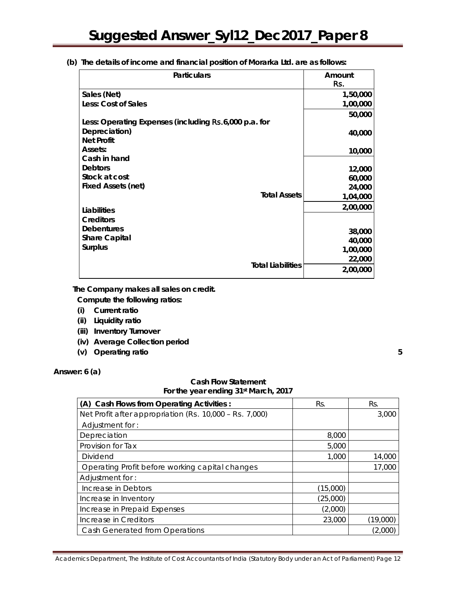**(b) The details of income and financial position of Morarka Ltd. are as follows:** 

| <b>Particulars</b>                                    | Amount<br>Rs. |
|-------------------------------------------------------|---------------|
| Sales (Net)                                           | 1,50,000      |
| Less: Cost of Sales                                   | 1,00,000      |
|                                                       | 50,000        |
| Less: Operating Expenses (including Rs.6,000 p.a. for |               |
| Depreciation)                                         | 40,000        |
| <b>Net Profit</b>                                     |               |
| Assets:                                               | 10,000        |
| Cash in hand                                          |               |
| <b>Debtors</b>                                        | 12,000        |
| Stock at cost                                         | 60,000        |
| <b>Fixed Assets (net)</b>                             | 24,000        |
| <b>Total Assets</b>                                   | 1,04,000      |
| Liabilities                                           | 2,00,000      |
| <b>Creditors</b>                                      |               |
| <b>Debentures</b>                                     | 38,000        |
| <b>Share Capital</b>                                  | 40,000        |
| <b>Surplus</b>                                        | 1,00,000      |
|                                                       | 22,000        |
| <b>Total Liabilities</b>                              | 2,00,000      |

 **The Company makes all sales on credit. Compute the following ratios:** 

- **(i) Current ratio**
- **(ii) Liquidity ratio**
- **(iii) Inventory Turnover**
- **(iv) Average Collection period**
- **(v) Operating ratio 5**

**Answer: 6 (a)** 

## **Cash Flow Statement For the year ending 31st March, 2017**

| (A) Cash Flows from Operating Activities :              | Rs.      | Rs.      |
|---------------------------------------------------------|----------|----------|
| Net Profit after appropriation (Rs. 10,000 - Rs. 7,000) |          | 3,000    |
| Adjustment for:                                         |          |          |
| Depreciation                                            | 8,000    |          |
| Provision for Tax                                       | 5,000    |          |
| Dividend                                                | 1,000    | 14,000   |
| Operating Profit before working capital changes         |          | 17,000   |
| Adjustment for:                                         |          |          |
| Increase in Debtors                                     | (15,000) |          |
| Increase in Inventory                                   | (25,000) |          |
| Increase in Prepaid Expenses                            | (2,000)  |          |
| Increase in Creditors                                   | 23,000   | (19,000) |
| Cash Generated from Operations                          |          | (2,000   |

Academics Department, The Institute of Cost Accountants of India (Statutory Body under an Act of Parliament) Page 12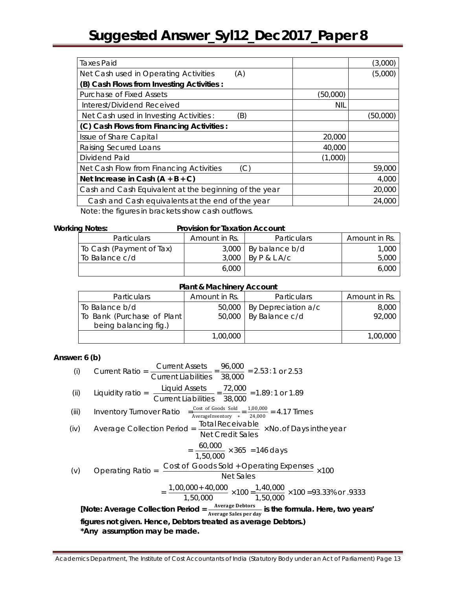| <b>Taxes Paid</b>                                     |            | (3,000)  |
|-------------------------------------------------------|------------|----------|
| Net Cash used in Operating Activities<br>(A)          |            | (5,000)  |
| (B) Cash Flows from Investing Activities :            |            |          |
| <b>Purchase of Fixed Assets</b>                       | (50,000)   |          |
| Interest/Dividend Received                            | <b>NIL</b> |          |
| Net Cash used in Investing Activities:<br>(B)         |            | (50,000) |
| (C) Cash Flows from Financing Activities :            |            |          |
| Issue of Share Capital                                | 20,000     |          |
| Raising Secured Loans                                 | 40,000     |          |
| Dividend Paid                                         | (1,000)    |          |
| Net Cash Flow from Financing Activities<br>(C)        |            | 59,000   |
| Net Increase in Cash $(A + B + C)$                    |            | 4,000    |
| Cash and Cash Equivalent at the beginning of the year |            | 20,000   |
| Cash and Cash equivalents at the end of the year      |            | 24,000   |
| Note: the figures in brackets show cash outflows.     |            |          |

#### **Working Notes: Provision for Taxation Account**

| <b>Particulars</b>       | Amount in Rs. | <b>Particulars</b> | Amount in Rs. |
|--------------------------|---------------|--------------------|---------------|
| To Cash (Payment of Tax) | 3,000         | By balance b/d     | 1.000         |
| To Balance c/d           | 3,000         | BYP&LA/C           | 5,000         |
|                          | 6.000         |                    | 6.000         |

## **Plant & Machinery Account**

| <b>Particulars</b>          | Amount in Rs. | <b>Particulars</b>           | Amount in Rs. |
|-----------------------------|---------------|------------------------------|---------------|
| l To Balance b/d            |               | 50,000   By Depreciation a/c | 8,000         |
| To Bank (Purchase of Plant) |               | $50,000$   By Balance c/d    | 92,000        |
| being balancing fig.)       |               |                              |               |
|                             | 1,00,000      |                              | 1,00,000      |

## **Answer: 6 (b)**

(i) Current Ratio = 
$$
\frac{\text{Current Assets}}{\text{Current Liabilities}} = \frac{96,000}{38,000} = 2.53:1 \text{ or } 2.53
$$
  
\n(ii) Liquidity ratio =  $\frac{\text{Light}}{\text{Current Liabilities}} = \frac{72,000}{38,000} = 1.89:1 \text{ or } 1.89$   
\n(iii) Inventory Turnover Ratio =  $\frac{\frac{\text{Cost of Good sold}}{\text{AverageInventory}} = \frac{1,00,000}{24,000}}{4,17 \text{ Times}}$   
\n(iv) Average Collection Period =  $\frac{\text{Total Receiver} \times \text{No. of Days in the year}}{\text{Net Credit Sales}} \times \text{No. of Days in the year}$   
\n $= \frac{60,000}{1,50,000} \times 365 = 146 \text{ days}$   
\n(v) Operating Ratio =  $\frac{\text{Cost of Goods Sold} + \text{Operating Express}}{\text{Net Sales}} \times 100$   
\n $= \frac{1,00,000 + 40,000}{1,50,000} \times 100 = \frac{1,40,000}{1,50,000} \times 100 = 93.33\% \text{ or } 9333$   
\n[Note: Average Collection Period =  $\frac{\text{Average Debitors}}{\text{Average Sales per day}}$  is the formula. Here, two years'  
\nfigures not given. Hence, Debitors treated as average Debitors.)  
\n\*Any assumption may be made.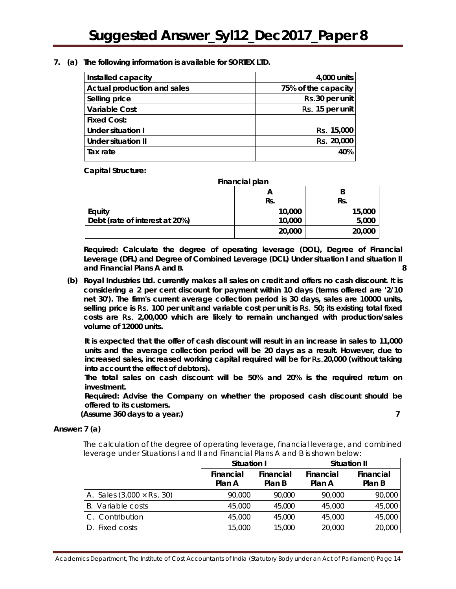### **7. (a) The following information is available for SORTEX LTD.**

| Installed capacity          | 4,000 units         |
|-----------------------------|---------------------|
| Actual production and sales | 75% of the capacity |
| Selling price               | Rs.30 per unit      |
| <b>Variable Cost</b>        | Rs. 15 per unit     |
| <b>Fixed Cost:</b>          |                     |
| Under situation I           | Rs. 15,000          |
| <b>Under situation II</b>   | Rs. 20,000          |
| Tax rate                    | 40%                 |

**Capital Structure:** 

| Financial plan                 |        |        |  |
|--------------------------------|--------|--------|--|
|                                |        |        |  |
|                                | Rs.    | Rs.    |  |
| Equity                         | 10,000 | 15,000 |  |
| Debt (rate of interest at 20%) | 10,000 | 5,000  |  |
|                                | 20,000 | 20,000 |  |

*Required:* **Calculate the degree of operating leverage (DOL), Degree of Financial Leverage (DFL) and Degree of Combined Leverage (DCL) Under situation I and situation II and Financial Plans A and B. 8**

**(b) Royal Industries Ltd. currently makes all sales on credit and offers no cash discount. It is considering a 2 per cent discount for payment within 10 days (terms offered are '2/10 net 30'). The firm's current average collection period is 30 days, sales are 10000 units, selling price is** Rs. **100 per unit and variable cost per unit is** Rs. **50; its existing total fixed costs are** Rs. **2,00,000 which are likely to remain unchanged with production/sales volume of 12000 units.**

**It is expected that the offer of cash discount will result in an increase in sales to 11,000 units and the average collection period will be 20 days as a result. However, due to increased sales, increased working capital required will be for** Rs.**20,000 (without taking into account the effect of debtors).**

**The total sales on cash discount will be 50% and 20% is the required return on investment.** 

*Required:* **Advise the Company on whether the proposed cash discount should be offered to its customers.**

**(Assume 360 days to a year.) 7**

# **Answer: 7 (a)**

The calculation of the degree of operating leverage, financial leverage, and combined leverage under Situations I and II and Financial Plans A and B is shown below:

|                                          | Situation I         |                            | <b>Situation II</b> |                            |  |
|------------------------------------------|---------------------|----------------------------|---------------------|----------------------------|--|
|                                          | Financial<br>Plan A | <b>Financial</b><br>Plan B | Financial<br>Plan A | <b>Financial</b><br>Plan B |  |
| A. Sales $(3,000 \times \text{Rs. } 30)$ | 90,000              | 90,000                     | 90,000              | 90,000                     |  |
| B. Variable costs                        | 45,000              | 45,000                     | 45,000              | 45,000                     |  |
| C. Contribution                          | 45,000              | 45,000                     | 45,000              | 45,000                     |  |
| D. Fixed costs                           | 15,000              | 15,000                     | 20,000              | 20,000                     |  |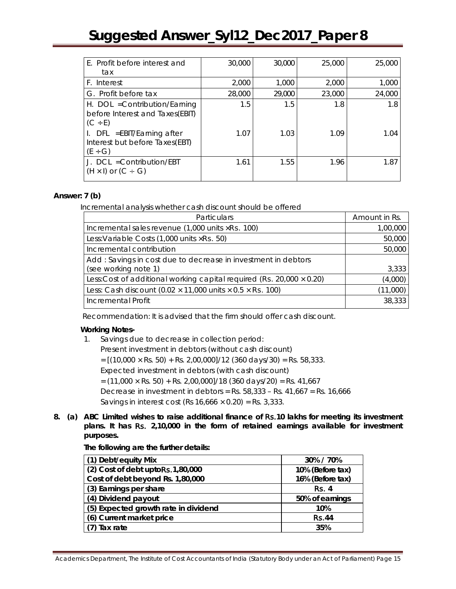| E. Profit before interest and                                                    | 30,000 | 30,000 | 25,000 | 25,000 |
|----------------------------------------------------------------------------------|--------|--------|--------|--------|
| tax                                                                              |        |        |        |        |
| F. Interest                                                                      | 2,000  | 1,000  | 2,000  | 1,000  |
| G. Profit before tax                                                             | 28,000 | 29,000 | 23,000 | 24,000 |
| H. DOL = Contribution/Earning<br>before Interest and Taxes(EBIT)<br>$(C \div E)$ | 1.5    | 1.5    | 1.8    | 1.8    |
| $I.$ DFL = EBIT/Earning after<br>Interest but before Taxes(EBT)<br>$(E \div G)$  | 1.07   | 1.03   | 1.09   | 1.04   |
| J. $DCL = Continuation/EBT$<br>$(H \times I)$ or $(C \div G)$                    | 1.61   | 1.55   | 1.96   | 1.87   |

## **Answer: 7 (b)**

Incremental analysis whether cash discount should be offered

| Particulars                                                                    | Amount in Rs. |
|--------------------------------------------------------------------------------|---------------|
| Incremental sales revenue $(1,000 \text{ units} \times \text{Rs. } 100)$       | 1,00,000      |
| Less: Variable Costs $(1,000 \text{ units} \times \text{Rs.} 50)$              | 50,000        |
| Incremental contribution                                                       | 50,000        |
| Add: Savings in cost due to decrease in investment in debtors                  |               |
| (see working note 1)                                                           | 3,333         |
| Less: Cost of additional working capital required (Rs. 20,000 $\times$ 0.20)   | (4,000)       |
| Less: Cash discount (0.02 $\times$ 11,000 units $\times$ 0.5 $\times$ Rs. 100) | (11,000)      |
| Incremental Profit                                                             | 38,333        |

Recommendation: It is advised that the firm should offer cash discount.

### **Working Notes-**

1. Savings due to decrease in collection period:

Present investment in debtors (without cash discount)

 $=[(10,000 \times \text{Rs. } 50) + \text{Rs. } 2,00,000]/12$  (360 days/30) = Rs. 58,333.

Expected investment in debtors (with cash discount)

 $=$  (11,000  $\times$  Rs. 50) + Rs. 2,00,000]/18 (360 days/20) = Rs. 41,667

Decrease in investment in debtors = Rs. 58,333 – Rs. 41,667 = Rs. 16,666 Savings in interest cost (Rs  $16,666 \times 0.20$ ) = Rs. 3,333.

- 
- **8. (a) ABC Limited wishes to raise additional finance of** Rs.**10 lakhs for meeting its investment plans. It has** Rs. **2,10,000 in the form of retained earnings available for investment purposes.**

**The following are the further details:**

| 30% / 70%        |
|------------------|
| 10% (Before tax) |
| 16% (Before tax) |
| <b>Rs. 4</b>     |
| 50% of earnings  |
| 10%              |
| <b>Rs.44</b>     |
| 35%              |
|                  |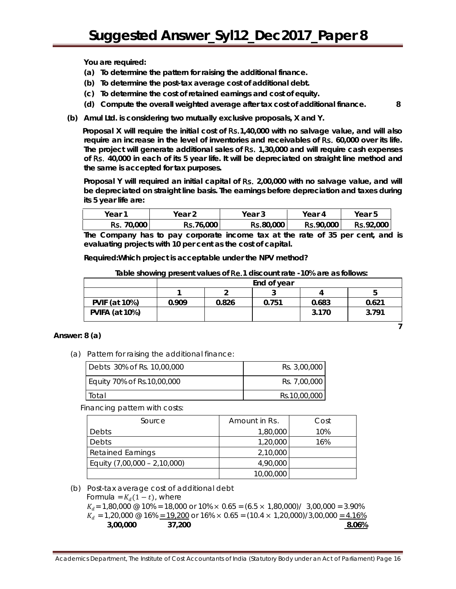**You are required:** 

- **(a) To determine the pattern for raising the additional finance.**
- **(b) To determine the post-tax average cost of additional debt.**
- **(c) To determine the cost of retained earnings and cost of equity.**
- **(d) Compute the overall weighted average after tax cost of additional finance. 8**
- **(b) Amul Ltd. is considering two mutually exclusive proposals, X and Y.**

**Proposal X will require the initial cost of** Rs.**1,40,000 with no salvage value, and will also require an increase in the level of inventories and receivables of** Rs. **60,000 over its life. The project will generate additional sales of** Rs. **1,30,000 and will require cash expenses of** Rs. **40,000 in each of its 5 year life. It will be depreciated on straight line method and the same is accepted for tax purposes.**

Proposal Y will required an initial capital of Rs. 2,00,000 with no salvage value, and will **be depreciated on straight line basis. The earnings before depreciation and taxes during its 5 year life are:**

| Year              | Year 2           | Year 3    | Year 4           | Year 5           |
|-------------------|------------------|-----------|------------------|------------------|
| <b>Rs.</b> 70,000 | <b>Rs.76,000</b> | Rs.80,000 | <b>Rs.90,000</b> | <b>Rs.92,000</b> |

**The Company has to pay corporate income tax at the rate of 35 per cent, and is evaluating projects with 10 per cent as the cost of capital.**

*Required:***Which project is acceptable under the NPV method?**

|                       | End of year |       |       |       |       |
|-----------------------|-------------|-------|-------|-------|-------|
|                       |             |       |       |       |       |
| <b>PVIF (at 10%)</b>  | 0.909       | 0.826 | 0.751 | 0.683 | 0.621 |
| <b>PVIFA (at 10%)</b> |             |       |       | 3.170 | 3.791 |
|                       |             |       |       |       |       |

**Table showing present values of** Re.**1 discount rate -10% are as follows:**

#### **Answer: 8 (a)**

(a) Pattern for raising the additional finance:

| Debts 30% of Rs. 10,00,000 | Rs. 3.00.000 |
|----------------------------|--------------|
| Equity 70% of Rs.10,00,000 | Rs. 7.00.000 |
| Total                      | Rs.10,00,000 |

Financing pattern with costs:

| Source                       | Amount in Rs. | Cost |
|------------------------------|---------------|------|
| Debts                        | 1,80,000      | 10%  |
| Debts                        | 1,20,000      | 16%  |
| <b>Retained Earnings</b>     | 2,10,000      |      |
| Equity (7,00,000 - 2,10,000) | 4,90,000      |      |
|                              | 10,00,000     |      |

(b) Post-tax average cost of additional debt

Formula =  $K_d(1-t)$ , where  $K_d$  = 1,80,000 @ 10% = 18,000 or 10%  $\times$  0.65 = (6.5  $\times$  1,80,000)/ 3,00,000 = 3.90%  $K_d = 1,20,000 \text{ } @$  16%  $\leq$  19,200 or 16%  $\times$  0.65 = (10.4  $\times$  1,20,000)/3,00,000  $\leq$  4.16%<br>3,00,000 37,200  **3,00,000 37,200 8.06%**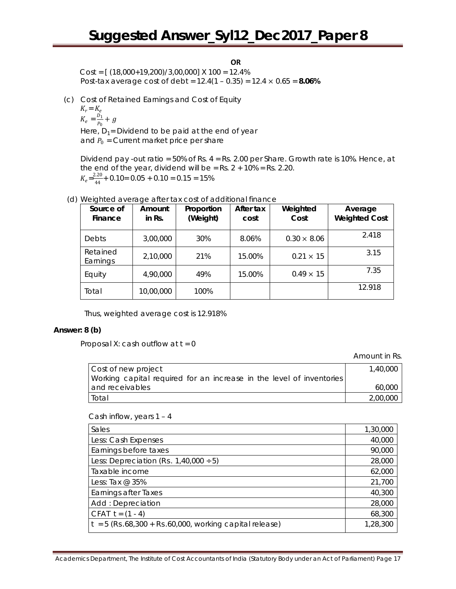**OR**

 $Cost = \left[ (18,000+19,200)/3,00,000 \right]$  X  $100 = 12.4\%$ Post-tax average cost of debt = 12.4(1 – 0.35) = 12.4 × 0.65 = **8.06%**

(c) Cost of Retained Earnings and Cost of Equity

 $K_r = K_e$ 

 $K_e = \frac{D_1}{P_0} +$ Here,  $D_1$ = Dividend to be paid at the end of year and  $P_0$  = Current market price per share

Dividend pay -out ratio = 50% of Rs. 4 = Rs. 2.00 per Share. Growth rate is 10%. Hence, at the end of the year, dividend will be =  $Rs. 2 + 10\% = Rs. 2.20$ .  $K_e = \frac{2.20}{44} + 0.10 = 0.05 + 0.10 = 0.15 = 15\%$ 

| Source of<br>Finance | Amount<br>in Rs. | Proportion<br>(Weight) | After tax<br>cost | Weighted<br>Cost   | Average<br><b>Weighted Cost</b> |
|----------------------|------------------|------------------------|-------------------|--------------------|---------------------------------|
| Debts                | 3,00,000         | 30%                    | 8.06%             | $0.30 \times 8.06$ | 2.418                           |
| Retained<br>Earnings | 2,10,000         | 21%                    | 15.00%            | $0.21 \times 15$   | 3.15                            |
| Equity               | 4,90,000         | 49%                    | 15.00%            | $0.49 \times 15$   | 7.35                            |
| Total                | 10,00,000        | 100%                   |                   |                    | 12.918                          |

(d) Weighted average after tax cost of additional finance

Thus, weighted average cost is 12.918%

#### **Answer: 8 (b)**

Proposal X: cash outflow at  $t = 0$ 

Amount in Rs.

| Cost of new project                                                  | 1,40,000 |
|----------------------------------------------------------------------|----------|
| Working capital required for an increase in the level of inventories |          |
| and receivables                                                      | 60,000   |
| Total                                                                | 2,00,000 |

#### Cash inflow, years 1 – 4

| Sales                                                    | 1,30,000 |
|----------------------------------------------------------|----------|
| Less: Cash Expenses                                      | 40,000   |
| Earnings before taxes                                    | 90,000   |
| Less: Depreciation (Rs. $1,40,000 \div 5$ )              | 28,000   |
| Taxable income                                           | 62,000   |
| Less: Tax $@35\%$                                        | 21,700   |
| <b>Earnings after Taxes</b>                              | 40,300   |
| Add: Depreciation                                        | 28,000   |
| CFAT $t = (1 - 4)$                                       | 68,300   |
| $t = 5$ (Rs.68,300 + Rs.60,000, working capital release) | 1,28,300 |